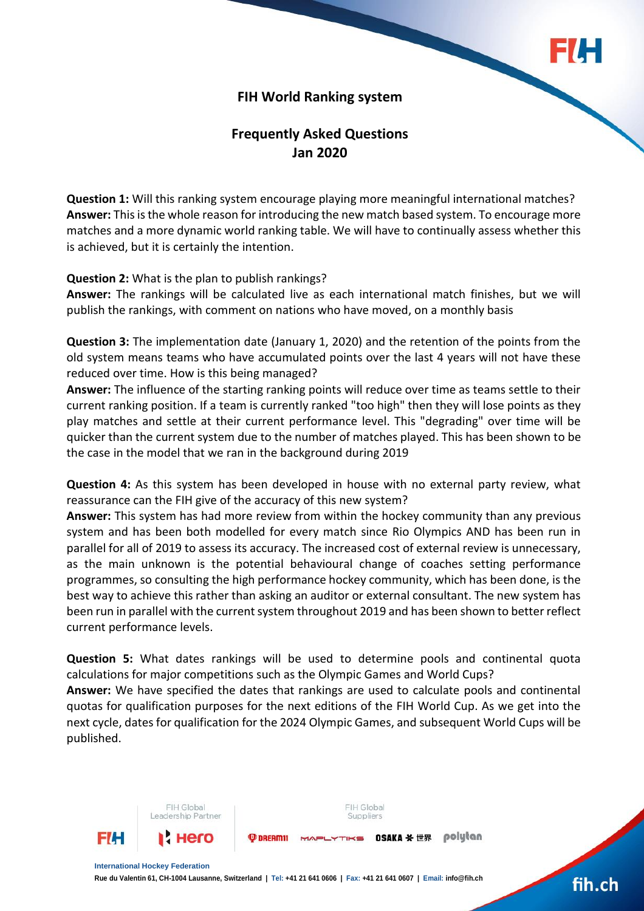

## **FIH World Ranking system**

# **Frequently Asked Questions Jan 2020**

**Question 1:** Will this ranking system encourage playing more meaningful international matches? **Answer:** This is the whole reason for introducing the new match based system. To encourage more matches and a more dynamic world ranking table. We will have to continually assess whether this is achieved, but it is certainly the intention.

#### **Question 2:** What is the plan to publish rankings?

FIH Global

Leadership Partner

**Answer:** The rankings will be calculated live as each international match finishes, but we will publish the rankings, with comment on nations who have moved, on a monthly basis

**Question 3:** The implementation date (January 1, 2020) and the retention of the points from the old system means teams who have accumulated points over the last 4 years will not have these reduced over time. How is this being managed?

**Answer:** The influence of the starting ranking points will reduce over time as teams settle to their current ranking position. If a team is currently ranked "too high" then they will lose points as they play matches and settle at their current performance level. This "degrading" over time will be quicker than the current system due to the number of matches played. This has been shown to be the case in the model that we ran in the background during 2019

**Question 4:** As this system has been developed in house with no external party review, what reassurance can the FIH give of the accuracy of this new system?

**Answer:** This system has had more review from within the hockey community than any previous system and has been both modelled for every match since Rio Olympics AND has been run in parallel for all of 2019 to assess its accuracy. The increased cost of external review is unnecessary, as the main unknown is the potential behavioural change of coaches setting performance programmes, so consulting the high performance hockey community, which has been done, is the best way to achieve this rather than asking an auditor or external consultant. The new system has been run in parallel with the current system throughout 2019 and has been shown to better reflect current performance levels.

**Question 5:** What dates rankings will be used to determine pools and continental quota calculations for major competitions such as the Olympic Games and World Cups?

**Answer:** We have specified the dates that rankings are used to calculate pools and continental quotas for qualification purposes for the next editions of the FIH World Cup. As we get into the next cycle, dates for qualification for the 2024 Olympic Games, and subsequent World Cups will be published.

FIH Global



# fih.ch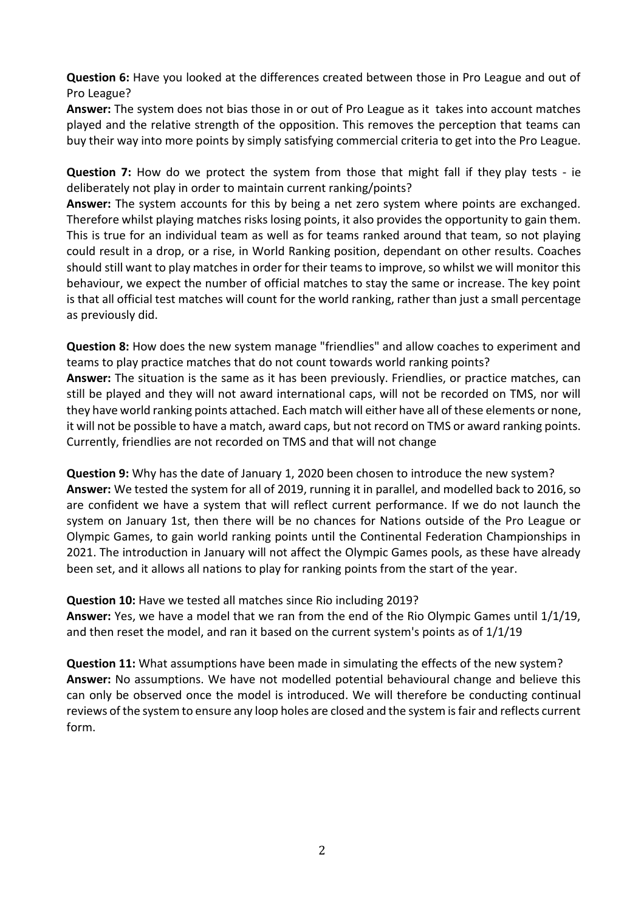**Question 6:** Have you looked at the differences created between those in Pro League and out of Pro League?

**Answer:** The system does not bias those in or out of Pro League as it takes into account matches played and the relative strength of the opposition. This removes the perception that teams can buy their way into more points by simply satisfying commercial criteria to get into the Pro League.

**Question 7:** How do we protect the system from those that might fall if they play tests - ie deliberately not play in order to maintain current ranking/points?

**Answer:** The system accounts for this by being a net zero system where points are exchanged. Therefore whilst playing matches risks losing points, it also provides the opportunity to gain them. This is true for an individual team as well as for teams ranked around that team, so not playing could result in a drop, or a rise, in World Ranking position, dependant on other results. Coaches should still want to play matches in order for their teams to improve, so whilst we will monitor this behaviour, we expect the number of official matches to stay the same or increase. The key point is that all official test matches will count for the world ranking, rather than just a small percentage as previously did.

**Question 8:** How does the new system manage "friendlies" and allow coaches to experiment and teams to play practice matches that do not count towards world ranking points?

**Answer:** The situation is the same as it has been previously. Friendlies, or practice matches, can still be played and they will not award international caps, will not be recorded on TMS, nor will they have world ranking points attached. Each match will either have all of these elements or none, it will not be possible to have a match, award caps, but not record on TMS or award ranking points. Currently, friendlies are not recorded on TMS and that will not change

**Question 9:** Why has the date of January 1, 2020 been chosen to introduce the new system? **Answer:** We tested the system for all of 2019, running it in parallel, and modelled back to 2016, so are confident we have a system that will reflect current performance. If we do not launch the system on January 1st, then there will be no chances for Nations outside of the Pro League or Olympic Games, to gain world ranking points until the Continental Federation Championships in 2021. The introduction in January will not affect the Olympic Games pools, as these have already been set, and it allows all nations to play for ranking points from the start of the year.

**Question 10:** Have we tested all matches since Rio including 2019?

**Answer:** Yes, we have a model that we ran from the end of the Rio Olympic Games until 1/1/19, and then reset the model, and ran it based on the current system's points as of 1/1/19

**Question 11:** What assumptions have been made in simulating the effects of the new system? **Answer:** No assumptions. We have not modelled potential behavioural change and believe this can only be observed once the model is introduced. We will therefore be conducting continual reviews of the system to ensure any loop holes are closed and the system is fair and reflects current form.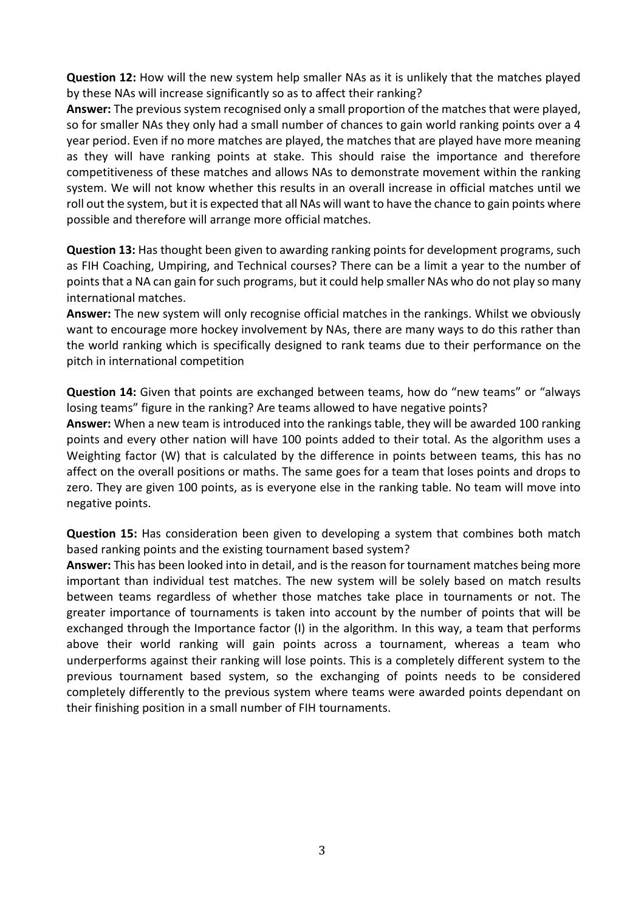**Question 12:** How will the new system help smaller NAs as it is unlikely that the matches played by these NAs will increase significantly so as to affect their ranking?

**Answer:** The previous system recognised only a small proportion of the matches that were played, so for smaller NAs they only had a small number of chances to gain world ranking points over a 4 year period. Even if no more matches are played, the matches that are played have more meaning as they will have ranking points at stake. This should raise the importance and therefore competitiveness of these matches and allows NAs to demonstrate movement within the ranking system. We will not know whether this results in an overall increase in official matches until we roll out the system, but it is expected that all NAs will want to have the chance to gain points where possible and therefore will arrange more official matches.

**Question 13:** Has thought been given to awarding ranking points for development programs, such as FIH Coaching, Umpiring, and Technical courses? There can be a limit a year to the number of points that a NA can gain for such programs, but it could help smaller NAs who do not play so many international matches.

**Answer:** The new system will only recognise official matches in the rankings. Whilst we obviously want to encourage more hockey involvement by NAs, there are many ways to do this rather than the world ranking which is specifically designed to rank teams due to their performance on the pitch in international competition

**Question 14:** Given that points are exchanged between teams, how do "new teams" or "always losing teams" figure in the ranking? Are teams allowed to have negative points?

**Answer:** When a new team is introduced into the rankings table, they will be awarded 100 ranking points and every other nation will have 100 points added to their total. As the algorithm uses a Weighting factor (W) that is calculated by the difference in points between teams, this has no affect on the overall positions or maths. The same goes for a team that loses points and drops to zero. They are given 100 points, as is everyone else in the ranking table. No team will move into negative points.

**Question 15:** Has consideration been given to developing a system that combines both match based ranking points and the existing tournament based system?

**Answer:** This has been looked into in detail, and is the reason for tournament matches being more important than individual test matches. The new system will be solely based on match results between teams regardless of whether those matches take place in tournaments or not. The greater importance of tournaments is taken into account by the number of points that will be exchanged through the Importance factor (I) in the algorithm. In this way, a team that performs above their world ranking will gain points across a tournament, whereas a team who underperforms against their ranking will lose points. This is a completely different system to the previous tournament based system, so the exchanging of points needs to be considered completely differently to the previous system where teams were awarded points dependant on their finishing position in a small number of FIH tournaments.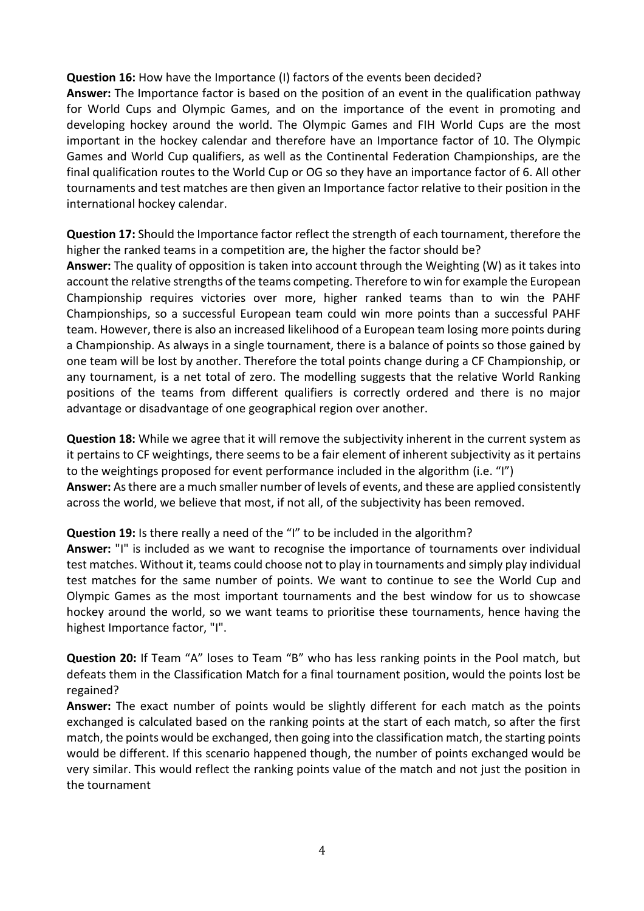### **Question 16:** How have the Importance (I) factors of the events been decided?

**Answer:** The Importance factor is based on the position of an event in the qualification pathway for World Cups and Olympic Games, and on the importance of the event in promoting and developing hockey around the world. The Olympic Games and FIH World Cups are the most important in the hockey calendar and therefore have an Importance factor of 10. The Olympic Games and World Cup qualifiers, as well as the Continental Federation Championships, are the final qualification routes to the World Cup or OG so they have an importance factor of 6. All other tournaments and test matches are then given an Importance factor relative to their position in the international hockey calendar.

**Question 17:** Should the Importance factor reflect the strength of each tournament, therefore the higher the ranked teams in a competition are, the higher the factor should be?

**Answer:** The quality of opposition is taken into account through the Weighting (W) as it takes into account the relative strengths of the teams competing. Therefore to win for example the European Championship requires victories over more, higher ranked teams than to win the PAHF Championships, so a successful European team could win more points than a successful PAHF team. However, there is also an increased likelihood of a European team losing more points during a Championship. As always in a single tournament, there is a balance of points so those gained by one team will be lost by another. Therefore the total points change during a CF Championship, or any tournament, is a net total of zero. The modelling suggests that the relative World Ranking positions of the teams from different qualifiers is correctly ordered and there is no major advantage or disadvantage of one geographical region over another.

**Question 18:** While we agree that it will remove the subjectivity inherent in the current system as it pertains to CF weightings, there seems to be a fair element of inherent subjectivity as it pertains to the weightings proposed for event performance included in the algorithm (i.e. "I")

**Answer:** As there are a much smaller number of levels of events, and these are applied consistently across the world, we believe that most, if not all, of the subjectivity has been removed.

### **Question 19:** Is there really a need of the "I" to be included in the algorithm?

**Answer:** "I" is included as we want to recognise the importance of tournaments over individual test matches. Without it, teams could choose not to play in tournaments and simply play individual test matches for the same number of points. We want to continue to see the World Cup and Olympic Games as the most important tournaments and the best window for us to showcase hockey around the world, so we want teams to prioritise these tournaments, hence having the highest Importance factor, "I".

**Question 20:** If Team "A" loses to Team "B" who has less ranking points in the Pool match, but defeats them in the Classification Match for a final tournament position, would the points lost be regained?

**Answer:** The exact number of points would be slightly different for each match as the points exchanged is calculated based on the ranking points at the start of each match, so after the first match, the points would be exchanged, then going into the classification match, the starting points would be different. If this scenario happened though, the number of points exchanged would be very similar. This would reflect the ranking points value of the match and not just the position in the tournament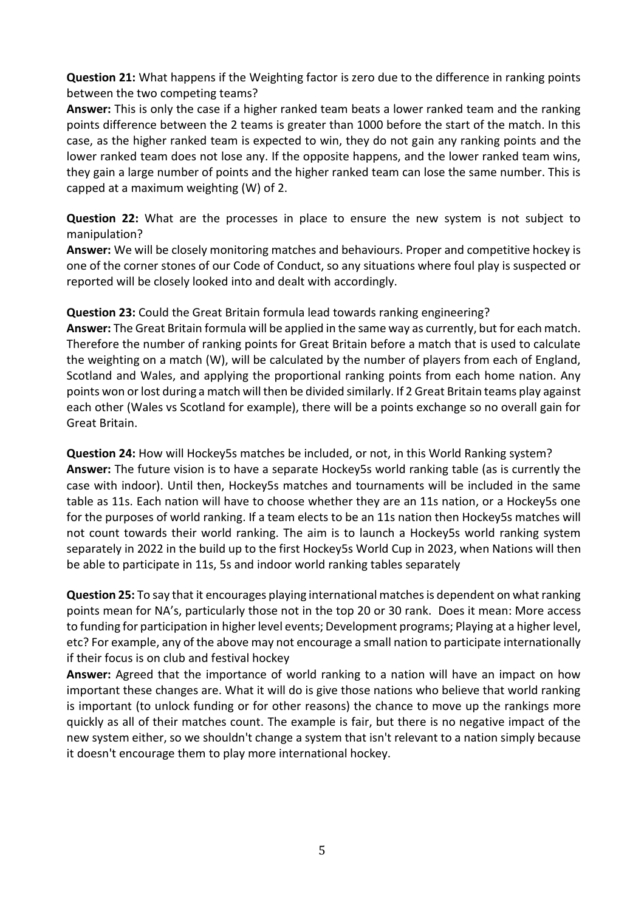**Question 21:** What happens if the Weighting factor is zero due to the difference in ranking points between the two competing teams?

**Answer:** This is only the case if a higher ranked team beats a lower ranked team and the ranking points difference between the 2 teams is greater than 1000 before the start of the match. In this case, as the higher ranked team is expected to win, they do not gain any ranking points and the lower ranked team does not lose any. If the opposite happens, and the lower ranked team wins, they gain a large number of points and the higher ranked team can lose the same number. This is capped at a maximum weighting (W) of 2.

**Question 22:** What are the processes in place to ensure the new system is not subject to manipulation?

**Answer:** We will be closely monitoring matches and behaviours. Proper and competitive hockey is one of the corner stones of our Code of Conduct, so any situations where foul play is suspected or reported will be closely looked into and dealt with accordingly.

**Question 23:** Could the Great Britain formula lead towards ranking engineering?

**Answer:** The Great Britain formula will be applied in the same way as currently, but for each match. Therefore the number of ranking points for Great Britain before a match that is used to calculate the weighting on a match (W), will be calculated by the number of players from each of England, Scotland and Wales, and applying the proportional ranking points from each home nation. Any points won or lost during a match will then be divided similarly. If 2 Great Britain teams play against each other (Wales vs Scotland for example), there will be a points exchange so no overall gain for Great Britain.

**Question 24:** How will Hockey5s matches be included, or not, in this World Ranking system? **Answer:** The future vision is to have a separate Hockey5s world ranking table (as is currently the case with indoor). Until then, Hockey5s matches and tournaments will be included in the same table as 11s. Each nation will have to choose whether they are an 11s nation, or a Hockey5s one for the purposes of world ranking. If a team elects to be an 11s nation then Hockey5s matches will not count towards their world ranking. The aim is to launch a Hockey5s world ranking system separately in 2022 in the build up to the first Hockey5s World Cup in 2023, when Nations will then be able to participate in 11s, 5s and indoor world ranking tables separately

**Question 25:** To say that it encourages playing international matches is dependent on what ranking points mean for NA's, particularly those not in the top 20 or 30 rank. Does it mean: More access to funding for participation in higher level events; Development programs; Playing at a higher level, etc? For example, any of the above may not encourage a small nation to participate internationally if their focus is on club and festival hockey

**Answer:** Agreed that the importance of world ranking to a nation will have an impact on how important these changes are. What it will do is give those nations who believe that world ranking is important (to unlock funding or for other reasons) the chance to move up the rankings more quickly as all of their matches count. The example is fair, but there is no negative impact of the new system either, so we shouldn't change a system that isn't relevant to a nation simply because it doesn't encourage them to play more international hockey.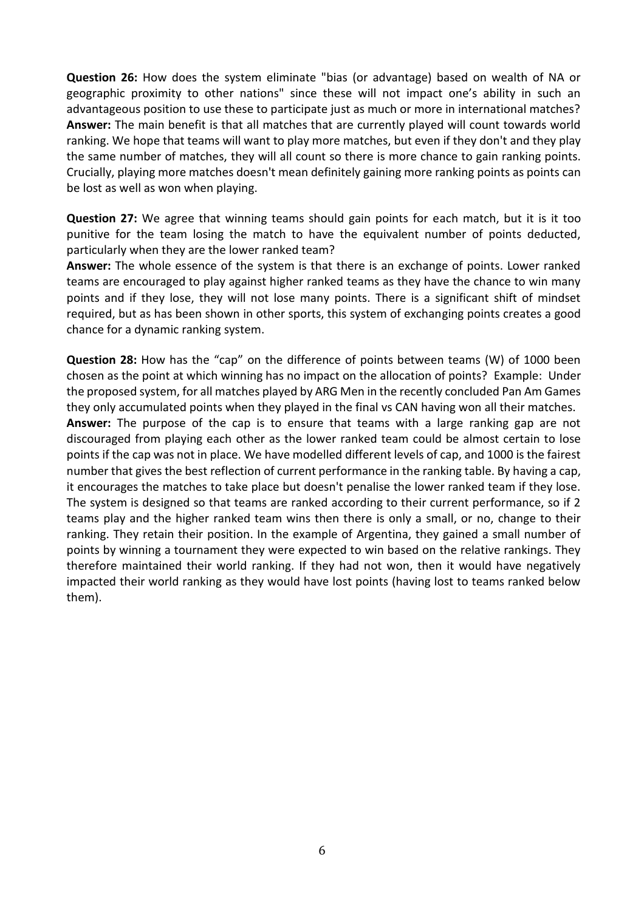**Question 26:** How does the system eliminate "bias (or advantage) based on wealth of NA or geographic proximity to other nations" since these will not impact one's ability in such an advantageous position to use these to participate just as much or more in international matches? **Answer:** The main benefit is that all matches that are currently played will count towards world ranking. We hope that teams will want to play more matches, but even if they don't and they play the same number of matches, they will all count so there is more chance to gain ranking points. Crucially, playing more matches doesn't mean definitely gaining more ranking points as points can be lost as well as won when playing.

**Question 27:** We agree that winning teams should gain points for each match, but it is it too punitive for the team losing the match to have the equivalent number of points deducted, particularly when they are the lower ranked team?

**Answer:** The whole essence of the system is that there is an exchange of points. Lower ranked teams are encouraged to play against higher ranked teams as they have the chance to win many points and if they lose, they will not lose many points. There is a significant shift of mindset required, but as has been shown in other sports, this system of exchanging points creates a good chance for a dynamic ranking system.

**Question 28:** How has the "cap" on the difference of points between teams (W) of 1000 been chosen as the point at which winning has no impact on the allocation of points? Example: Under the proposed system, for all matches played by ARG Men in the recently concluded Pan Am Games they only accumulated points when they played in the final vs CAN having won all their matches.

**Answer:** The purpose of the cap is to ensure that teams with a large ranking gap are not discouraged from playing each other as the lower ranked team could be almost certain to lose points if the cap was not in place. We have modelled different levels of cap, and 1000 is the fairest number that gives the best reflection of current performance in the ranking table. By having a cap, it encourages the matches to take place but doesn't penalise the lower ranked team if they lose. The system is designed so that teams are ranked according to their current performance, so if 2 teams play and the higher ranked team wins then there is only a small, or no, change to their ranking. They retain their position. In the example of Argentina, they gained a small number of points by winning a tournament they were expected to win based on the relative rankings. They therefore maintained their world ranking. If they had not won, then it would have negatively impacted their world ranking as they would have lost points (having lost to teams ranked below them).